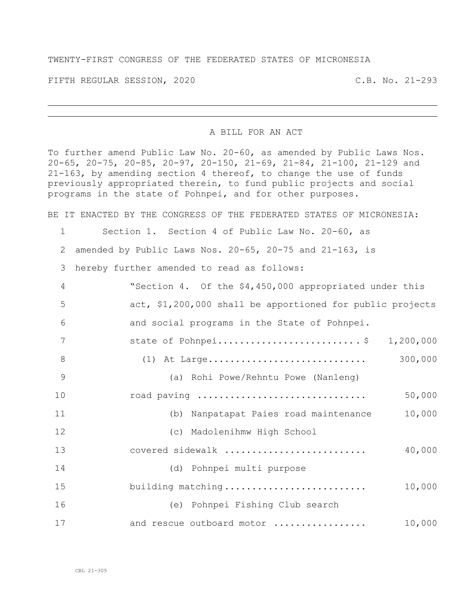## TWENTY-FIRST CONGRESS OF THE FEDERATED STATES OF MICRONESIA

FIFTH REGULAR SESSION, 2020 C.B. No. 21-293

## A BILL FOR AN ACT

To further amend Public Law No. 20-60, as amended by Public Laws Nos. 20-65, 20-75, 20-85, 20-97, 20-150, 21-69, 21-84, 21-100, 21-129 and 21-163, by amending section 4 thereof, to change the use of funds previously appropriated therein, to fund public projects and social programs in the state of Pohnpei, and for other purposes.

BE IT ENACTED BY THE CONGRESS OF THE FEDERATED STATES OF MICRONESIA:

Section 1. Section 4 of Public Law No. 20-60, as

amended by Public Laws Nos. 20-65, 20-75 and 21-163, is

hereby further amended to read as follows:

| $\overline{4}$ | "Section 4. Of the \$4,450,000 appropriated under this    |         |
|----------------|-----------------------------------------------------------|---------|
| 5              | act, \$1,200,000 shall be apportioned for public projects |         |
| 6              | and social programs in the State of Pohnpei.              |         |
| 7              | state of Pohnpei\$ 1,200,000                              |         |
| 8              | $(1)$ At Large                                            | 300,000 |
| 9              | (a) Rohi Powe/Rehntu Powe (Nanleng)                       |         |
| 10             | road paving                                               | 50,000  |
| 11             | (b) Nanpatapat Paies road maintenance                     | 10,000  |
| 12             | (c) Madolenihmw High School                               |         |
| 13             | covered sidewalk                                          | 40,000  |
| 14             | (d) Pohnpei multi purpose                                 |         |
| 15             | building matching                                         | 10,000  |
| 16             | (e) Pohnpei Fishing Club search                           |         |
| 17             | and rescue outboard motor                                 | 10,000  |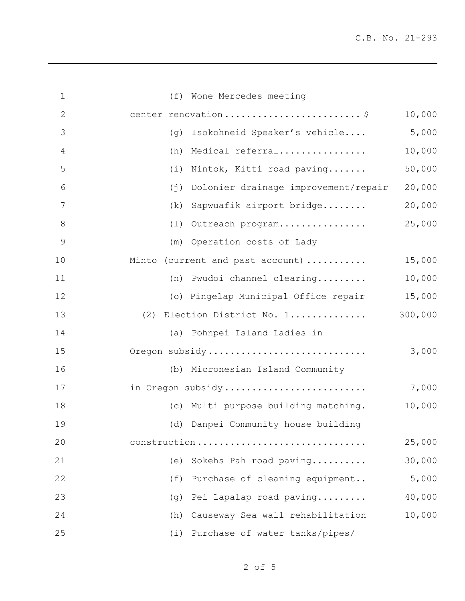| $\mathbf 1$   | (f) Wone Mercedes meeting                   |         |
|---------------|---------------------------------------------|---------|
| 2             | center renovation\$                         | 10,000  |
| 3             | (g) Isokohneid Speaker's vehicle            | 5,000   |
| 4             | Medical referral<br>(h)                     | 10,000  |
| 5             | Nintok, Kitti road paving<br>(i)            | 50,000  |
| 6             | Dolonier drainage improvement/repair<br>(j) | 20,000  |
| 7             | Sapwuafik airport bridge<br>(k)             | 20,000  |
| 8             | (1) Outreach program                        | 25,000  |
| $\mathcal{G}$ | (m) Operation costs of Lady                 |         |
| 10            | Minto (current and past account)            | 15,000  |
| 11            | (n) Pwudoi channel clearing                 | 10,000  |
| 12            | (o) Pingelap Municipal Office repair        | 15,000  |
| 13            | (2) Election District No. 1                 | 300,000 |
| 14            | (a) Pohnpei Island Ladies in                |         |
| 15            | Oregon subsidy                              | 3,000   |
| 16            | (b) Micronesian Island Community            |         |
| 17            | in Oregon subsidy                           | 7,000   |
| 18            | (c) Multi purpose building matching.        | 10,000  |
| 19            | (d) Danpei Community house building         |         |
| 20            | construction                                | 25,000  |
| 21            | Sokehs Pah road paving<br>(e)               | 30,000  |
| 22            | Purchase of cleaning equipment<br>(f)       | 5,000   |
| 23            | Pei Lapalap road paving<br>(q)              | 40,000  |
| 24            | Causeway Sea wall rehabilitation<br>(h)     | 10,000  |
| 25            | (i) Purchase of water tanks/pipes/          |         |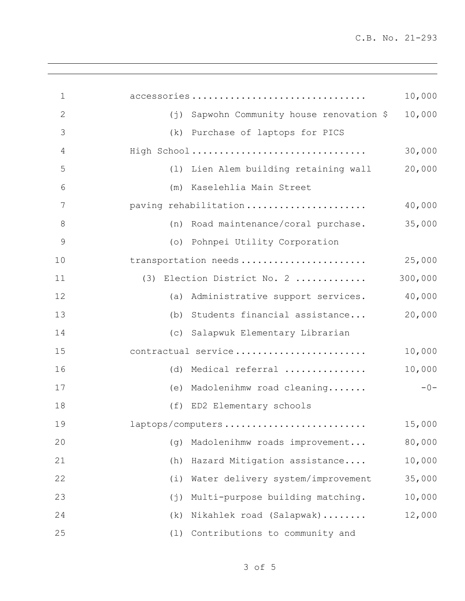| $\mathbf 1$   | accessories<br>10,000                                          |
|---------------|----------------------------------------------------------------|
| $\mathbf{2}$  | 10,000<br>Sapwohn Community house renovation \$<br>$(\dagger)$ |
| 3             | (k)<br>Purchase of laptops for PICS                            |
| 4             | 30,000<br>High School                                          |
| 5             | (1) Lien Alem building retaining wall<br>20,000                |
| 6             | Kaselehlia Main Street<br>(m)                                  |
| 7             | 40,000<br>paving rehabilitation                                |
| 8             | 35,000<br>(n) Road maintenance/coral purchase.                 |
| $\mathcal{G}$ | (o) Pohnpei Utility Corporation                                |
| 10            | transportation needs<br>25,000                                 |
| 11            | (3) Election District No. 2<br>300,000                         |
| 12            | 40,000<br>Administrative support services.<br>(a)              |
| 13            | 20,000<br>Students financial assistance<br>(b)                 |
| 14            | Salapwuk Elementary Librarian<br>(C)                           |
| 15            | contractual service<br>10,000                                  |
| 16            | 10,000<br>Medical referral<br>(d)                              |
| 17            | Madolenihmw road cleaning<br>$-0-$<br>(e)                      |
| 18            | (f) ED2 Elementary schools                                     |
| 19            | 15,000<br>laptops/computers                                    |
| 20            | 80,000<br>Madolenihmw roads improvement<br>(q)                 |
| 21            | 10,000<br>Hazard Mitigation assistance<br>(h)                  |
| 22            | 35,000<br>Water delivery system/improvement<br>(i)             |
| 23            | Multi-purpose building matching.<br>10,000<br>(j)              |
| 24            | Nikahlek road (Salapwak)<br>12,000<br>(k)                      |
| 25            | Contributions to community and<br>(1)                          |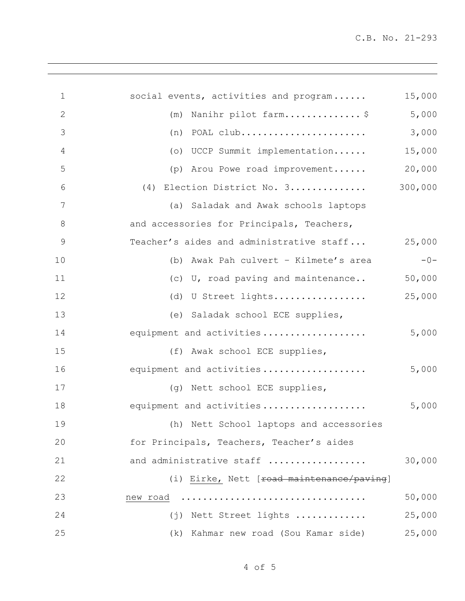| $\mathbf 1$     | social events, activities and program     | 15,000  |
|-----------------|-------------------------------------------|---------|
| $\mathbf{2}$    | (m) Nanihr pilot farm\$                   | 5,000   |
| 3               | $(n)$ POAL club                           | 3,000   |
| $\overline{4}$  | (o) UCCP Summit implementation            | 15,000  |
| 5               | (p) Arou Powe road improvement            | 20,000  |
| 6               | (4) Election District No. 3               | 300,000 |
| $7\phantom{.0}$ | (a) Saladak and Awak schools laptops      |         |
| $\,8\,$         | and accessories for Principals, Teachers, |         |
| $\mathsf 9$     | Teacher's aides and administrative staff  | 25,000  |
| 10              | (b) Awak Pah culvert - Kilmete's area     | $-0-$   |
| 11              | (c) U, road paving and maintenance        | 50,000  |
| 12              | (d) U Street lights                       | 25,000  |
| 13              | (e) Saladak school ECE supplies,          |         |
| 14              | equipment and activities                  | 5,000   |
| 15              | (f) Awak school ECE supplies,             |         |
| 16              | equipment and activities                  | 5,000   |
| 17              | (q) Nett school ECE supplies,             |         |
| 18              | equipment and activities                  | 5,000   |
| 19              | (h) Nett School laptops and accessories   |         |
| 20              | for Principals, Teachers, Teacher's aides |         |
| 21              | and administrative staff                  | 30,000  |
| 22              | (i) Eirke, Nett [road maintenance/paving] |         |
| 23              | new road                                  | 50,000  |
| 24              | (j) Nett Street lights                    | 25,000  |
| 25              | (k) Kahmar new road (Sou Kamar side)      | 25,000  |